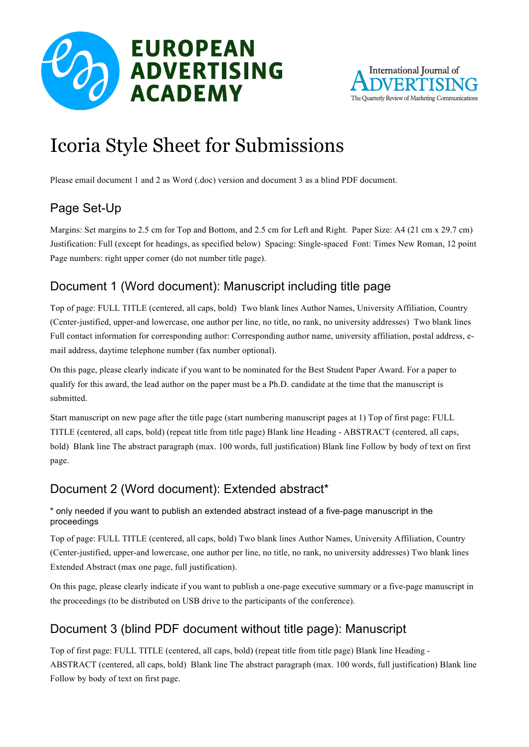



# Icoria Style Sheet for Submissions

Please email document 1 and 2 as Word (.doc) version and document 3 as a blind PDF document.

# Page Set-Up

Margins: Set margins to 2.5 cm for Top and Bottom, and 2.5 cm for Left and Right. Paper Size: A4 (21 cm x 29.7 cm) Justification: Full (except for headings, as specified below) Spacing: Single-spaced Font: Times New Roman, 12 point Page numbers: right upper corner (do not number title page).

## Document 1 (Word document): Manuscript including title page

Top of page: FULL TITLE (centered, all caps, bold) Two blank lines Author Names, University Affiliation, Country (Center-justified, upper-and lowercase, one author per line, no title, no rank, no university addresses) Two blank lines Full contact information for corresponding author: Corresponding author name, university affiliation, postal address, email address, daytime telephone number (fax number optional).

On this page, please clearly indicate if you want to be nominated for the Best Student Paper Award. For a paper to qualify for this award, the lead author on the paper must be a Ph.D. candidate at the time that the manuscript is submitted.

Start manuscript on new page after the title page (start numbering manuscript pages at 1) Top of first page: FULL TITLE (centered, all caps, bold) (repeat title from title page) Blank line Heading - ABSTRACT (centered, all caps, bold) Blank line The abstract paragraph (max. 100 words, full justification) Blank line Follow by body of text on first page.

## Document 2 (Word document): Extended abstract\*

#### \* only needed if you want to publish an extended abstract instead of a five-page manuscript in the proceedings

Top of page: FULL TITLE (centered, all caps, bold) Two blank lines Author Names, University Affiliation, Country (Center-justified, upper-and lowercase, one author per line, no title, no rank, no university addresses) Two blank lines Extended Abstract (max one page, full justification).

On this page, please clearly indicate if you want to publish a one-page executive summary or a five-page manuscript in the proceedings (to be distributed on USB drive to the participants of the conference).

## Document 3 (blind PDF document without title page): Manuscript

Top of first page: FULL TITLE (centered, all caps, bold) (repeat title from title page) Blank line Heading - ABSTRACT (centered, all caps, bold) Blank line The abstract paragraph (max. 100 words, full justification) Blank line Follow by body of text on first page.